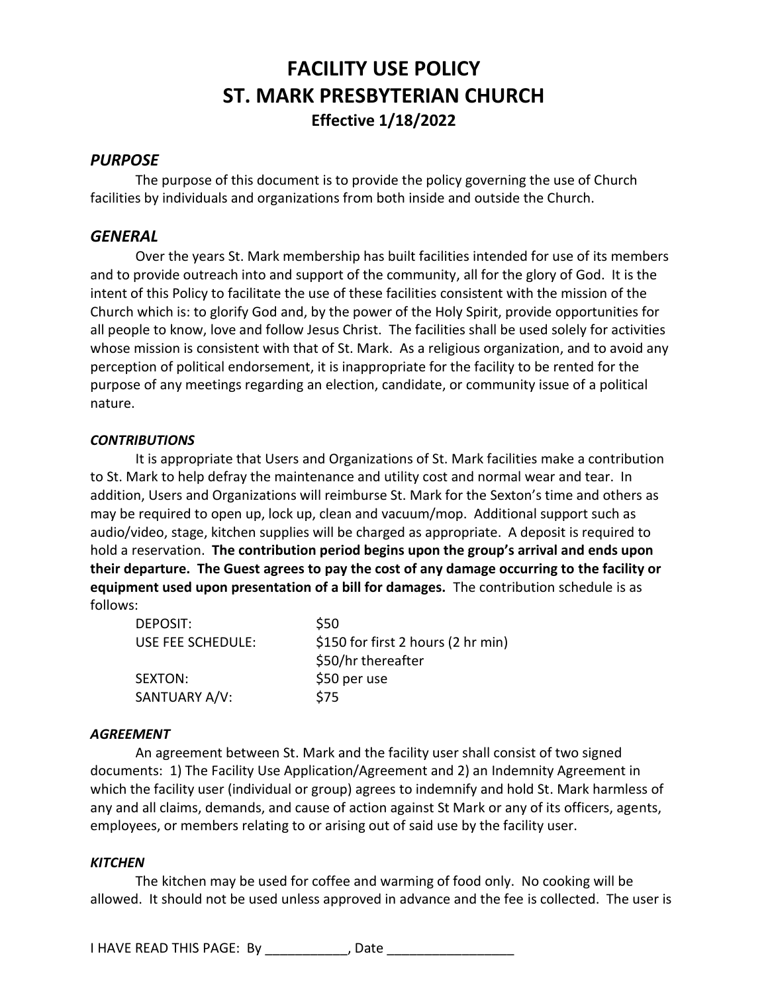# **FACILITY USE POLICY ST. MARK PRESBYTERIAN CHURCH Effective 1/18/2022**

## *PURPOSE*

The purpose of this document is to provide the policy governing the use of Church facilities by individuals and organizations from both inside and outside the Church.

## *GENERAL*

Over the years St. Mark membership has built facilities intended for use of its members and to provide outreach into and support of the community, all for the glory of God. It is the intent of this Policy to facilitate the use of these facilities consistent with the mission of the Church which is: to glorify God and, by the power of the Holy Spirit, provide opportunities for all people to know, love and follow Jesus Christ. The facilities shall be used solely for activities whose mission is consistent with that of St. Mark. As a religious organization, and to avoid any perception of political endorsement, it is inappropriate for the facility to be rented for the purpose of any meetings regarding an election, candidate, or community issue of a political nature.

#### *CONTRIBUTIONS*

It is appropriate that Users and Organizations of St. Mark facilities make a contribution to St. Mark to help defray the maintenance and utility cost and normal wear and tear. In addition, Users and Organizations will reimburse St. Mark for the Sexton's time and others as may be required to open up, lock up, clean and vacuum/mop. Additional support such as audio/video, stage, kitchen supplies will be charged as appropriate. A deposit is required to hold a reservation. **The contribution period begins upon the group's arrival and ends upon their departure. The Guest agrees to pay the cost of any damage occurring to the facility or equipment used upon presentation of a bill for damages.** The contribution schedule is as follows:

| DEPOSIT:          | \$50                               |
|-------------------|------------------------------------|
| USE FEE SCHEDULE: | \$150 for first 2 hours (2 hr min) |
|                   | \$50/hr thereafter                 |
| SEXTON:           | \$50 per use                       |
| SANTUARY A/V:     | <b>S75</b>                         |

#### *AGREEMENT*

An agreement between St. Mark and the facility user shall consist of two signed documents: 1) The Facility Use Application/Agreement and 2) an Indemnity Agreement in which the facility user (individual or group) agrees to indemnify and hold St. Mark harmless of any and all claims, demands, and cause of action against St Mark or any of its officers, agents, employees, or members relating to or arising out of said use by the facility user.

## *KITCHEN*

The kitchen may be used for coffee and warming of food only. No cooking will be allowed. It should not be used unless approved in advance and the fee is collected. The user is

I HAVE READ THIS PAGE: By The control of the part of the part of the set of the control of the control of the c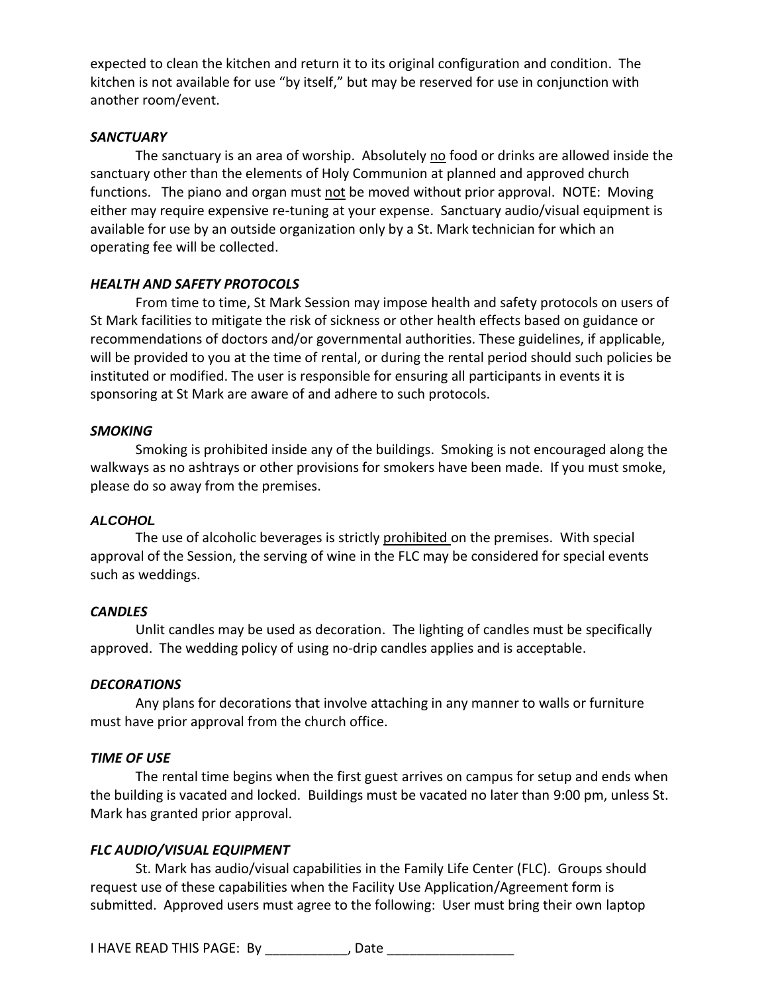expected to clean the kitchen and return it to its original configuration and condition. The kitchen is not available for use "by itself," but may be reserved for use in conjunction with another room/event.

#### *SANCTUARY*

The sanctuary is an area of worship. Absolutely no food or drinks are allowed inside the sanctuary other than the elements of Holy Communion at planned and approved church functions. The piano and organ must not be moved without prior approval. NOTE: Moving either may require expensive re-tuning at your expense. Sanctuary audio/visual equipment is available for use by an outside organization only by a St. Mark technician for which an operating fee will be collected.

#### *HEALTH AND SAFETY PROTOCOLS*

From time to time, St Mark Session may impose health and safety protocols on users of St Mark facilities to mitigate the risk of sickness or other health effects based on guidance or recommendations of doctors and/or governmental authorities. These guidelines, if applicable, will be provided to you at the time of rental, or during the rental period should such policies be instituted or modified. The user is responsible for ensuring all participants in events it is sponsoring at St Mark are aware of and adhere to such protocols.

#### *SMOKING*

Smoking is prohibited inside any of the buildings. Smoking is not encouraged along the walkways as no ashtrays or other provisions for smokers have been made. If you must smoke, please do so away from the premises.

#### *ALCOHOL*

The use of alcoholic beverages is strictly prohibited on the premises. With special approval of the Session, the serving of wine in the FLC may be considered for special events such as weddings.

#### *CANDLES*

Unlit candles may be used as decoration. The lighting of candles must be specifically approved. The wedding policy of using no-drip candles applies and is acceptable.

#### *DECORATIONS*

Any plans for decorations that involve attaching in any manner to walls or furniture must have prior approval from the church office.

#### *TIME OF USE*

The rental time begins when the first guest arrives on campus for setup and ends when the building is vacated and locked. Buildings must be vacated no later than 9:00 pm, unless St. Mark has granted prior approval.

## *FLC AUDIO/VISUAL EQUIPMENT*

St. Mark has audio/visual capabilities in the Family Life Center (FLC). Groups should request use of these capabilities when the Facility Use Application/Agreement form is submitted. Approved users must agree to the following: User must bring their own laptop

I HAVE READ THIS PAGE: By The control of the set of  $\overline{a}$ , Date  $\overline{b}$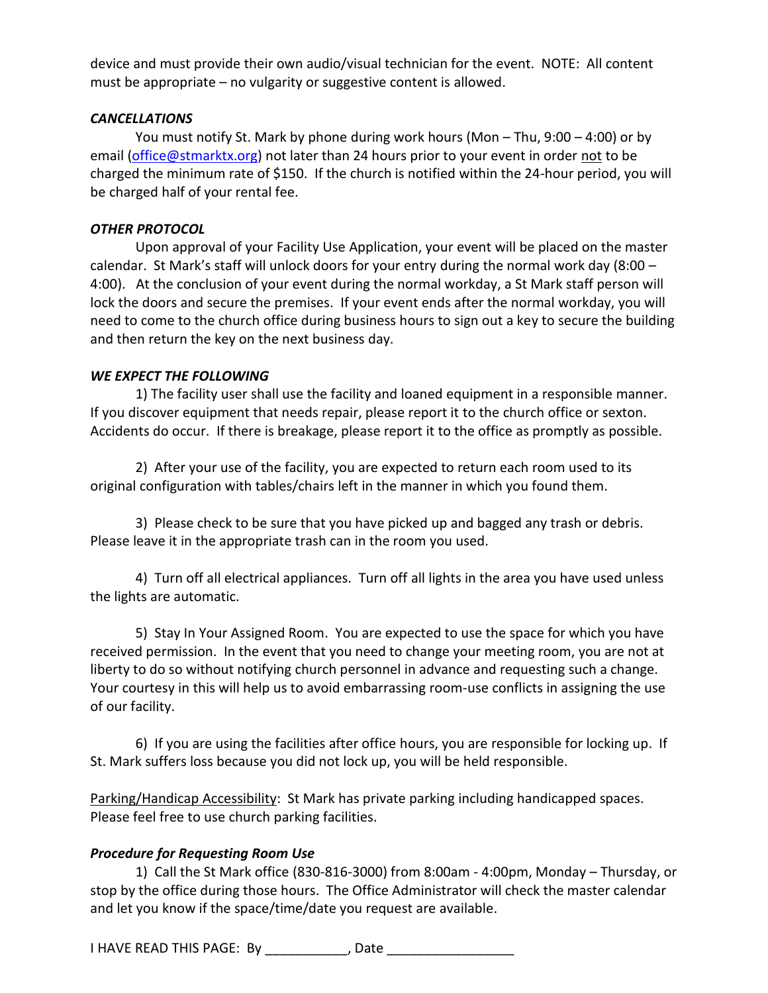device and must provide their own audio/visual technician for the event. NOTE: All content must be appropriate – no vulgarity or suggestive content is allowed.

#### *CANCELLATIONS*

You must notify St. Mark by phone during work hours (Mon – Thu, 9:00 – 4:00) or by email [\(office@stmarktx.org\)](mailto:office@stmarktx.org) not later than 24 hours prior to your event in order not to be charged the minimum rate of \$150. If the church is notified within the 24-hour period, you will be charged half of your rental fee.

### *OTHER PROTOCOL*

Upon approval of your Facility Use Application, your event will be placed on the master calendar. St Mark's staff will unlock doors for your entry during the normal work day (8:00 – 4:00). At the conclusion of your event during the normal workday, a St Mark staff person will lock the doors and secure the premises. If your event ends after the normal workday, you will need to come to the church office during business hours to sign out a key to secure the building and then return the key on the next business day.

## *WE EXPECT THE FOLLOWING*

1) The facility user shall use the facility and loaned equipment in a responsible manner. If you discover equipment that needs repair, please report it to the church office or sexton. Accidents do occur. If there is breakage, please report it to the office as promptly as possible.

2) After your use of the facility, you are expected to return each room used to its original configuration with tables/chairs left in the manner in which you found them.

3) Please check to be sure that you have picked up and bagged any trash or debris. Please leave it in the appropriate trash can in the room you used.

4) Turn off all electrical appliances. Turn off all lights in the area you have used unless the lights are automatic.

5) Stay In Your Assigned Room. You are expected to use the space for which you have received permission. In the event that you need to change your meeting room, you are not at liberty to do so without notifying church personnel in advance and requesting such a change. Your courtesy in this will help us to avoid embarrassing room-use conflicts in assigning the use of our facility.

6) If you are using the facilities after office hours, you are responsible for locking up. If St. Mark suffers loss because you did not lock up, you will be held responsible.

Parking/Handicap Accessibility: St Mark has private parking including handicapped spaces. Please feel free to use church parking facilities.

# *Procedure for Requesting Room Use*

1) Call the St Mark office (830-816-3000) from 8:00am - 4:00pm, Monday – Thursday, or stop by the office during those hours. The Office Administrator will check the master calendar and let you know if the space/time/date you request are available.

I HAVE READ THIS PAGE: By \_\_\_\_\_\_\_\_\_\_\_\_, Date \_\_\_\_\_\_\_\_\_\_\_\_\_\_\_\_\_\_\_\_\_\_\_\_\_\_\_\_\_\_\_\_\_\_\_